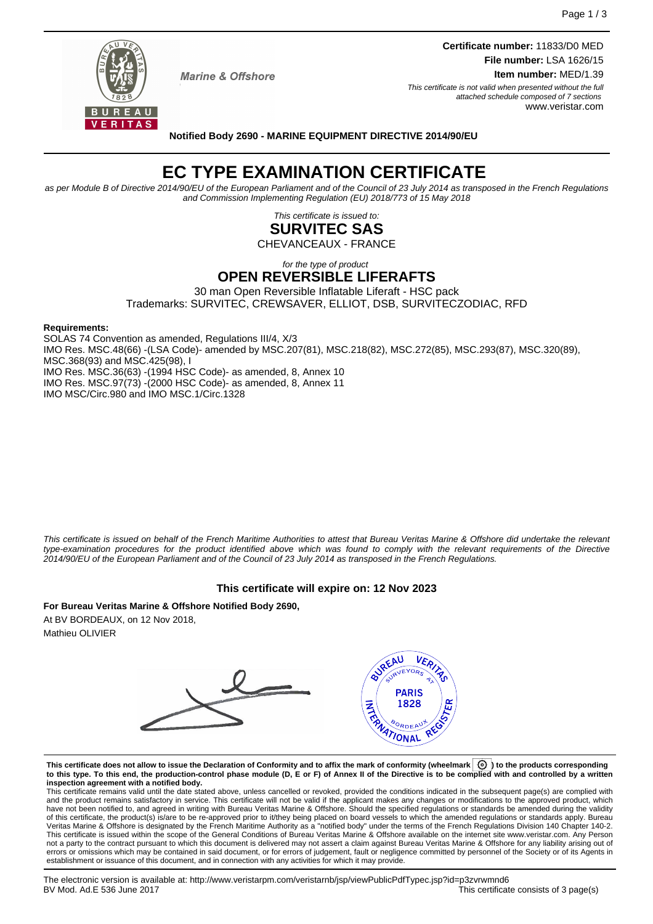

**Marine & Offshore** 

**Certificate number:** 11833/D0 MED **File number:** LSA 1626/15 **Item number:** MED/1.39 This certificate is not valid when presented without the full

attached schedule composed of 7 sections www.veristar.com

#### **Notified Body 2690 - MARINE EQUIPMENT DIRECTIVE 2014/90/EU**

# **EC TYPE EXAMINATION CERTIFICATE**

as per Module B of Directive 2014/90/EU of the European Parliament and of the Council of 23 July 2014 as transposed in the French Regulations and Commission Implementing Regulation (EU) 2018/773 of 15 May 2018

> This certificate is issued to: **SURVITEC SAS**

CHEVANCEAUX - FRANCE

# for the type of product

# **OPEN REVERSIBLE LIFERAFTS**

30 man Open Reversible Inflatable Liferaft - HSC pack Trademarks: SURVITEC, CREWSAVER, ELLIOT, DSB, SURVITECZODIAC, RFD

#### **Requirements:**

SOLAS 74 Convention as amended, Regulations III/4, X/3 IMO Res. MSC.48(66) -(LSA Code)- amended by MSC.207(81), MSC.218(82), MSC.272(85), MSC.293(87), MSC.320(89), MSC.368(93) and MSC.425(98), I IMO Res. MSC.36(63) -(1994 HSC Code)- as amended, 8, Annex 10 IMO Res. MSC.97(73) -(2000 HSC Code)- as amended, 8, Annex 11 IMO MSC/Circ.980 and IMO MSC.1/Circ.1328

This certificate is issued on behalf of the French Maritime Authorities to attest that Bureau Veritas Marine & Offshore did undertake the relevant type-examination procedures for the product identified above which was found to comply with the relevant requirements of the Directive 2014/90/EU of the European Parliament and of the Council of 23 July 2014 as transposed in the French Regulations.

## **This certificate will expire on: 12 Nov 2023**

**For Bureau Veritas Marine & Offshore Notified Body 2690,** At BV BORDEAUX, on 12 Nov 2018, Mathieu OLIVIER



This certificate does not allow to issue the Declaration of Conformity and to affix the mark of conformity (wheelmark  $\boxed{\textcircled{0}}$  to the products corresponding **to this type. To this end, the production-control phase module (D, E or F) of Annex II of the Directive is to be complied with and controlled by a written inspection agreement with a notified body.**

This certificate remains valid until the date stated above, unless cancelled or revoked, provided the conditions indicated in the subsequent page(s) are complied with and the product remains satisfactory in service. This certificate will not be valid if the applicant makes any changes or modifications to the approved product, which have not been notified to, and agreed in writing with Bureau Veritas Marine & Offshore. Should the specified regulations or standards be amended during the validity of this certificate, the product(s) is/are to be re-approved prior to it/they being placed on board vessels to which the amended regulations or standards apply. Bureau<br>Veritas Marine & Offshore is designated by the French not a party to the contract pursuant to which this document is delivered may not assert a claim against Bureau Veritas Marine & Offshore for any liability arising out of errors or omissions which may be contained in said document, or for errors of judgement, fault or negligence committed by personnel of the Society or of its Agents in establishment or issuance of this document, and in connection with any activities for which it may provide.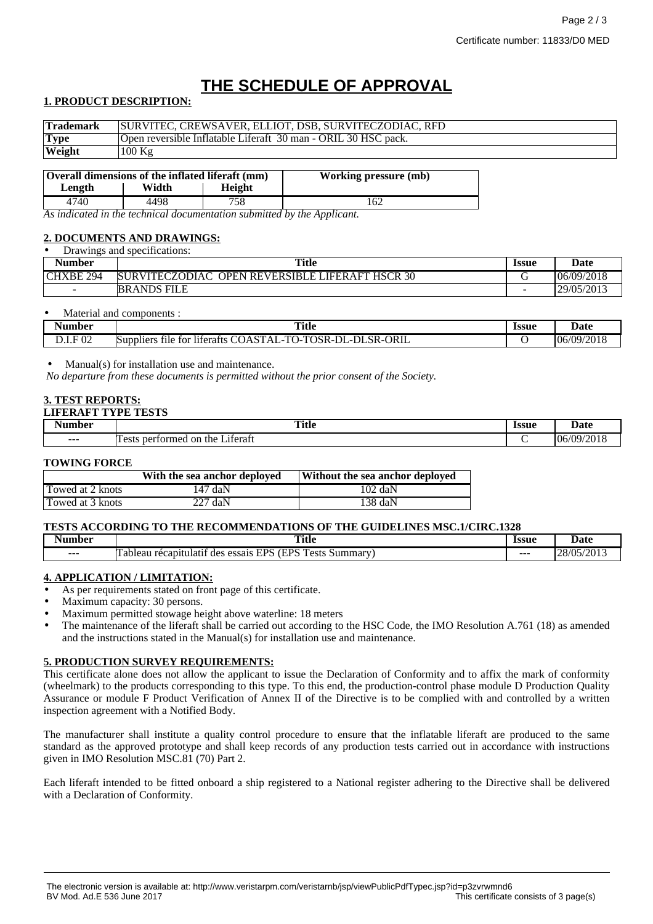# **THE SCHEDULE OF APPROVAL**

## **1. PRODUCT DESCRIPTION:**

| <b>Trademark</b> | SURVITEC, CREWSAVER, ELLIOT, DSB, SURVITECZODIAC, RFD          |
|------------------|----------------------------------------------------------------|
| <b>Type</b>      | Open reversible Inflatable Liferaft 30 man - ORIL 30 HSC pack. |
| <b>Weight</b>    | $100$ Kg                                                       |

| Overall dimensions of the inflated liferaft (mm) |       |        | <b>Working pressure (mb)</b> |
|--------------------------------------------------|-------|--------|------------------------------|
| Length                                           | Width | Height |                              |
| 4740                                             | 4498  | 758    |                              |

*As indicated in the technical documentation submitted by the Applicant.*

## **2. DOCUMENTS AND DRAWINGS:**

| $\cdot$ $\sim$<br>Drawings and specifications: |                                                                  |              |            |
|------------------------------------------------|------------------------------------------------------------------|--------------|------------|
| <b>Number</b>                                  | <b>Title</b>                                                     | <b>Issue</b> | Date       |
| CHXBE 294                                      | <b>SURVITECZODIAC</b><br><b>OPEN REVERSIBLE LIFERAFT HSCR 30</b> |              | 06/09/2018 |
| $\sim$                                         | <b>BRANDS FILE</b>                                               | -            | 29/05/2013 |

#### Material and components :

| Number         | <b>Title</b><br>$\sim$ $\sim$                                                                                                                                      | Issue | Date<br>.                                |
|----------------|--------------------------------------------------------------------------------------------------------------------------------------------------------------------|-------|------------------------------------------|
| .F 02<br>レ・エ・エ | œ.<br>ORIL<br>DΤ<br>DL<br>$T\cap C\Gamma$<br>SR-C<br>tor<br>liferafts<br>Suppliers<br>tile<br>-UAS<br>. osk-ur<br>$\cdots$<br><br>$\sim$<br>. .<br>AL.<br><b>.</b> |       | /2018<br>106<br>$\sqrt{Q}$<br>$\sqrt{2}$ |

## Manual(s) for installation use and maintenance.

*No departure from these documents is permitted without the prior consent of the Society.*

# **3. TEST REPORTS:**

# **LIFERAFT TYPE TESTS**

| Number  | $\sim$<br>Title<br>$\sim$ $\sim$                  | <b>Issue</b> | Date                                   |
|---------|---------------------------------------------------|--------------|----------------------------------------|
| $- - -$ | $\sim$<br>performed on<br>Liferaft<br>the<br>est: |              | 1/2010<br>$'$ $\Omega$<br>06<br>. ZU L |

#### **TOWING FORCE**

|                  | With the sea anchor deployed | Without the sea anchor deployed |
|------------------|------------------------------|---------------------------------|
| Towed at 2 knots | 147 daN                      | $102 \text{ daN}$               |
| Towed at 3 knots | $227 \text{ daN}$            | $138$ daN                       |

#### **TESTS ACCORDING TO THE RECOMMENDATIONS OF THE GUIDELINES MSC.1/CIRC.1328**

| Number | $T = 0$<br>ritle                                                                                  | <b>Issue</b> | Jate                      |
|--------|---------------------------------------------------------------------------------------------------|--------------|---------------------------|
| ---    | $\sim$<br>(TDC)<br>uрс<br>ests<br>latıf<br>Summary'<br>essais<br>des<br>racan<br>ableau<br>المتعد | $- - -$      | $^{105/201}$<br>ിധ<br>⊧∠ŏ |

#### **4. APPLICATION / LIMITATION:**

- As per requirements stated on front page of this certificate.
- Maximum capacity: 30 persons.
- Maximum permitted stowage height above waterline: 18 meters
- The maintenance of the liferaft shall be carried out according to the HSC Code, the IMO Resolution A.761 (18) as amended and the instructions stated in the Manual(s) for installation use and maintenance.

#### **5. PRODUCTION SURVEY REQUIREMENTS:**

This certificate alone does not allow the applicant to issue the Declaration of Conformity and to affix the mark of conformity (wheelmark) to the products corresponding to this type. To this end, the production-control phase module D Production Quality Assurance or module F Product Verification of Annex II of the Directive is to be complied with and controlled by a written inspection agreement with a Notified Body.

The manufacturer shall institute a quality control procedure to ensure that the inflatable liferaft are produced to the same standard as the approved prototype and shall keep records of any production tests carried out in accordance with instructions given in IMO Resolution MSC.81 (70) Part 2.

Each liferaft intended to be fitted onboard a ship registered to a National register adhering to the Directive shall be delivered with a Declaration of Conformity.